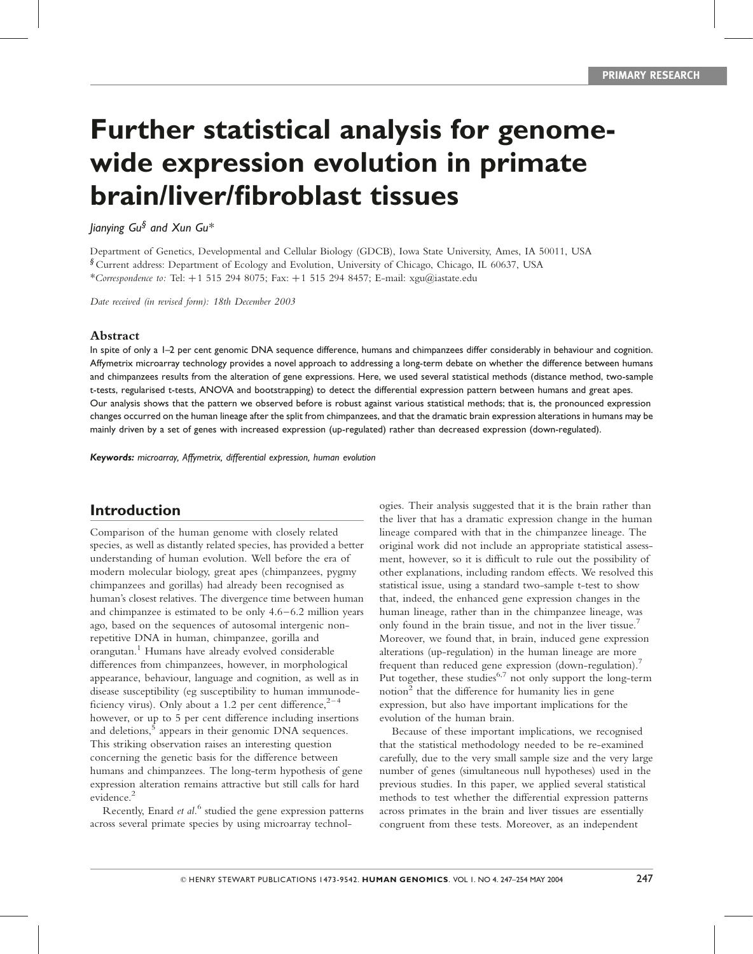# Further statistical analysis for genomewide expression evolution in primate brain/liver/fibroblast tissues

Jianying Gu $^\S$  and Xun Gu $^*$ 

Department of Genetics, Developmental and Cellular Biology (GDCB), Iowa State University, Ames, IA 50011, USA § Current address: Department of Ecology and Evolution, University of Chicago, Chicago, IL 60637, USA \*Correspondence to: Tel:  $+1$  515 294 8075; Fax:  $+1$  515 294 8457; E-mail: xgu@iastate.edu

Date received (in revised form): 18th December 2003

#### Abstract

In spite of only a 1–2 per cent genomic DNA sequence difference, humans and chimpanzees differ considerably in behaviour and cognition. Affymetrix microarray technology provides a novel approach to addressing a long-term debate on whether the difference between humans and chimpanzees results from the alteration of gene expressions. Here, we used several statistical methods (distance method, two-sample t-tests, regularised t-tests, ANOVA and bootstrapping) to detect the differential expression pattern between humans and great apes. Our analysis shows that the pattern we observed before is robust against various statistical methods; that is, the pronounced expression changes occurred on the human lineage after the split from chimpanzees, and that the dramatic brain expression alterations in humans may be mainly driven by a set of genes with increased expression (up-regulated) rather than decreased expression (down-regulated).

Keywords: microarray, Affymetrix, differential expression, human evolution

# Introduction

Comparison of the human genome with closely related species, as well as distantly related species, has provided a better understanding of human evolution. Well before the era of modern molecular biology, great apes (chimpanzees, pygmy chimpanzees and gorillas) had already been recognised as human's closest relatives. The divergence time between human and chimpanzee is estimated to be only 4.6–6.2 million years ago, based on the sequences of autosomal intergenic nonrepetitive DNA in human, chimpanzee, gorilla and orangutan. <sup>1</sup> Humans have already evolved considerable differences from chimpanzees, however, in morphological appearance, behaviour, language and cognition, as well as in disease susceptibility (eg susceptibility to human immunodeficiency virus). Only about a 1.2 per cent difference, $2^{-4}$ however, or up to 5 per cent difference including insertions and deletions,<sup>5</sup> appears in their genomic DNA sequences. This striking observation raises an interesting question concerning the genetic basis for the difference between humans and chimpanzees. The long-term hypothesis of gene expression alteration remains attractive but still calls for hard evidence. 2

Recently, Enard et al.<sup>6</sup> studied the gene expression patterns across several primate species by using microarray technologies. Their analysis suggested that it is the brain rather than the liver that has a dramatic expression change in the human lineage compared with that in the chimpanzee lineage. The original work did not include an appropriate statistical assessment, however, so it is difficult to rule out the possibility of other explanations, including random effects. We resolved this statistical issue, using a standard two-sample t-test to show that, indeed, the enhanced gene expression changes in the human lineage, rather than in the chimpanzee lineage, was only found in the brain tissue, and not in the liver tissue. 7 Moreover, we found that, in brain, induced gene expression alterations (up-regulation) in the human lineage are more frequent than reduced gene expression (down-regulation).<sup>7</sup> Put together, these studies<sup>6,7</sup> not only support the long-term notion 2 that the difference for humanity lies in gene expression, but also have important implications for the evolution of the human brain.

Because of these important implications, we recognised that the statistical methodology needed to be re-examined carefully, due to the very small sample size and the very large number of genes (simultaneous null hypotheses) used in the previous studies. In this paper, we applied several statistical methods to test whether the differential expression patterns across primates in the brain and liver tissues are essentially congruent from these tests. Moreover, as an independent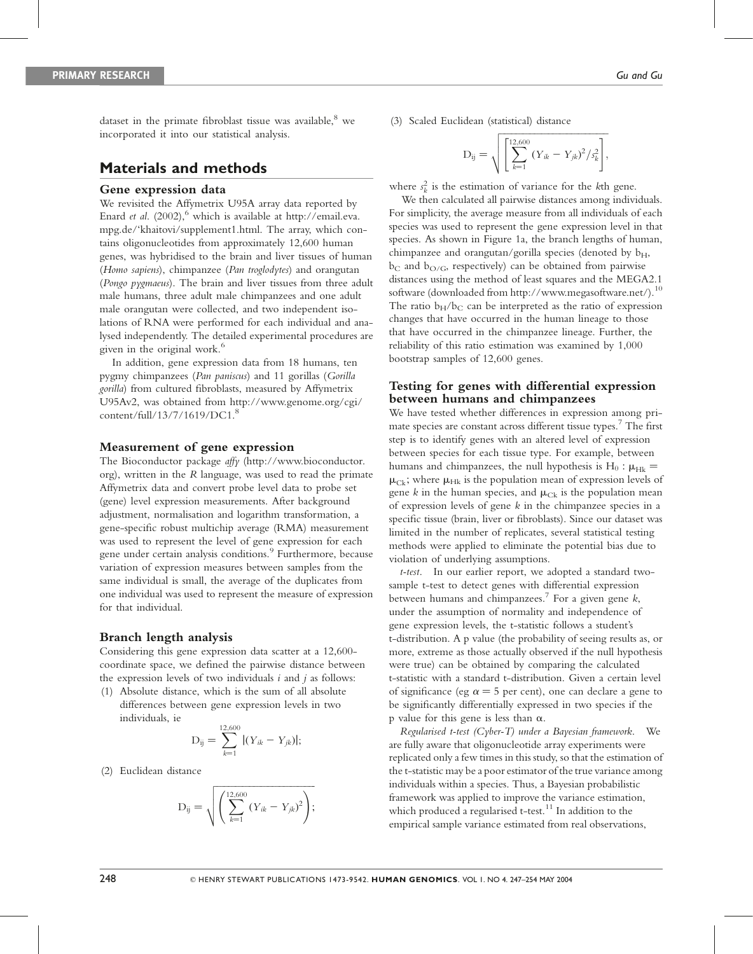dataset in the primate fibroblast tissue was available, <sup>8</sup> we incorporated it into our statistical analysis.

## Materials and methods

#### Gene expression data

We revisited the Affymetrix U95A array data reported by Enard et al. (2002), which is available at http://email.eva. mpg.de/'khaitovi/supplement1.html. The array, which contains oligonucleotides from approximately 12,600 human genes, was hybridised to the brain and liver tissues of human (Homo sapiens), chimpanzee (Pan troglodytes) and orangutan (Pongo pygmaeus). The brain and liver tissues from three adult male humans, three adult male chimpanzees and one adult male orangutan were collected, and two independent isolations of RNA were performed for each individual and analysed independently. The detailed experimental procedures are given in the original work. 6

In addition, gene expression data from 18 humans, ten pygmy chimpanzees (Pan paniscus) and 11 gorillas (Gorilla gorilla) from cultured fibroblasts, measured by Affymetrix U95Av2, was obtained from http://www.genome.org/cgi/  $content/full/13/7/1619/DC1.<sup>8</sup>$ 

#### Measurement of gene expression

The Bioconductor package affy (http://www.bioconductor. org), written in the R language, was used to read the primate Affymetrix data and convert probe level data to probe set (gene) level expression measurements. After background adjustment, normalisation and logarithm transformation, a gene-specific robust multichip average (RMA) measurement was used to represent the level of gene expression for each gene under certain analysis conditions. 9 Furthermore, because variation of expression measures between samples from the same individual is small, the average of the duplicates from one individual was used to represent the measure of expression for that individual.

#### Branch length analysis

Considering this gene expression data scatter at a 12,600 coordinate space, we defined the pairwise distance between the expression levels of two individuals  $i$  and  $j$  as follows:

(1) Absolute distance, which is the sum of all absolute differences between gene expression levels in two individuals, ie

$$
D_{ij} = \sum_{k=1}^{12,600} |(Y_{ik} - Y_{jk})|;
$$

(2) Euclidean distance

$$
D_{ij} = \sqrt{\left(\sum_{k=1}^{12,600} (Y_{ik} - Y_{jk})^2\right)};
$$

(3) Scaled Euclidean (statistical) distance

$$
D_{ij} = \sqrt{\left[\sum_{k=1}^{12,600} (Y_{ik} - Y_{jk})^2 / s_k^2\right]},
$$

where  $s_k^2$  is the estimation of variance for the kth gene.

We then calculated all pairwise distances among individuals. For simplicity, the average measure from all individuals of each species was used to represent the gene expression level in that species. As shown in Figure 1a, the branch lengths of human, chimpanzee and orangutan/gorilla species (denoted by  $b_H$ ,  $b<sub>C</sub>$  and  $b<sub>O/G</sub>$ , respectively) can be obtained from pairwise distances using the method of least squares and the MEGA2.1 software (downloaded from http://www.megasoftware.net/).<sup>10</sup> The ratio  $b_H/b_C$  can be interpreted as the ratio of expression changes that have occurred in the human lineage to those that have occurred in the chimpanzee lineage. Further, the reliability of this ratio estimation was examined by 1,000 bootstrap samples of 12,600 genes.

#### Testing for genes with differential expression between humans and chimpanzees

We have tested whether differences in expression among primate species are constant across different tissue types. <sup>7</sup> The first step is to identify genes with an altered level of expression between species for each tissue type. For example, between humans and chimpanzees, the null hypothesis is  $H_0$ :  $\mu_{HK}$  =  $\mu_{Ck}$ ; where  $\mu_{Hk}$  is the population mean of expression levels of gene k in the human species, and  $\mu_{Ck}$  is the population mean of expression levels of gene k in the chimpanzee species in a specific tissue (brain, liver or fibroblasts). Since our dataset was limited in the number of replicates, several statistical testing methods were applied to eliminate the potential bias due to violation of underlying assumptions.

t-test. In our earlier report, we adopted a standard twosample t-test to detect genes with differential expression between humans and chimpanzees. 7 For a given gene k, under the assumption of normality and independence of gene expression levels, the t-statistic follows a student's t-distribution. A p value (the probability of seeing results as, or more, extreme as those actually observed if the null hypothesis were true) can be obtained by comparing the calculated t-statistic with a standard t-distribution. Given a certain level of significance (eg  $\alpha = 5$  per cent), one can declare a gene to be significantly differentially expressed in two species if the p value for this gene is less than  $\alpha$ .

Regularised t-test (Cyber-T) under a Bayesian framework. We are fully aware that oligonucleotide array experiments were replicated only a few times in this study, so that the estimation of the t-statistic may be a poor estimator of the true variance among individuals within a species. Thus, a Bayesian probabilistic framework was applied to improve the variance estimation, which produced a regularised t-test.<sup>11</sup> In addition to the empirical sample variance estimated from real observations,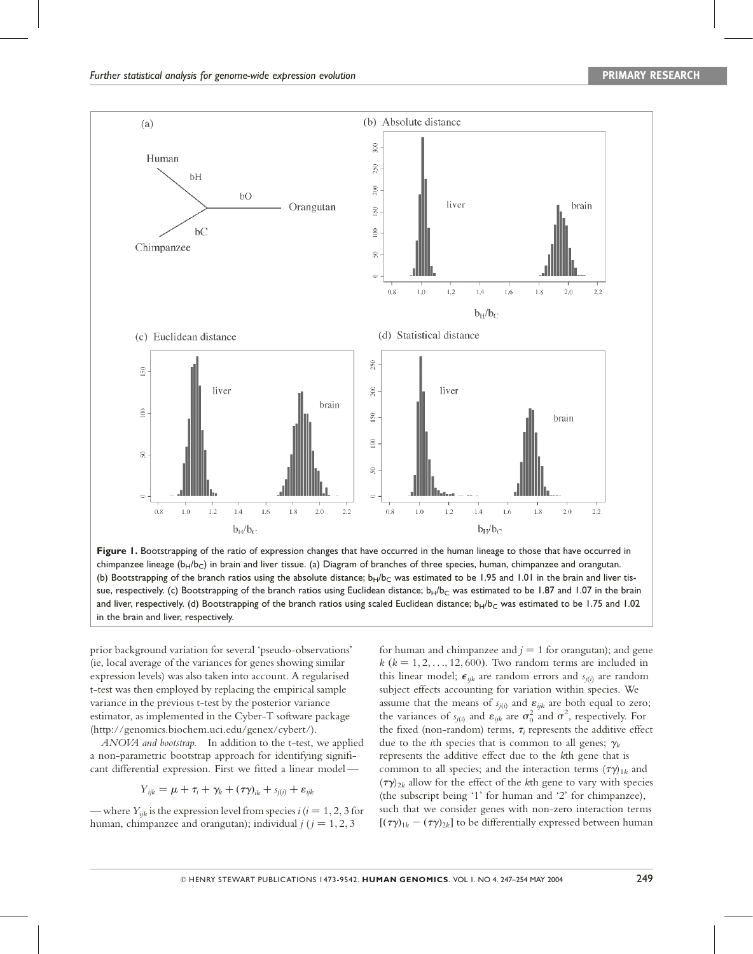

Figure 1. Bootstrapping of the ratio of expression changes that have occurred in the human lineage to those that have occurred in chimpanzee lineage ( $b_H/b_C$ ) in brain and liver tissue. (a) Diagram of branches of three species, human, chimpanzee and orangutan. (b) Bootstrapping of the branch ratios using the absolute distance;  $b_H/b_C$  was estimated to be 1.95 and 1.01 in the brain and liver tissue, respectively. (c) Bootstrapping of the branch ratios using Euclidean distance;  $b_H/b_C$  was estimated to be 1.87 and 1.07 in the brain and liver, respectively. (d) Bootstrapping of the branch ratios using scaled Euclidean distance;  $b_H/b_C$  was estimated to be 1.75 and 1.02 in the brain and liver, respectively.

prior background variation for several 'pseudo-observations' (ie, local average of the variances for genes showing similar expression levels) was also taken into account. A regularised t-test was then employed by replacing the empirical sample variance in the previous t-test by the posterior variance estimator, as implemented in the Cyber-T software package (http://genomics.biochem.uci.edu/genex/cybert/).

ANOVA and bootstrap. In addition to the t-test, we applied a non-parametric bootstrap approach for identifying significant differential expression. First we fitted a linear model —

$$
Y_{ijk} = \mu + \tau_i + \gamma_k + (\tau \gamma)_{ik} + s_{j(i)} + \varepsilon_{ijk}
$$

— where  $Y_{ijk}$  is the expression level from species  $i$  ( $i = 1, 2, 3$  for human, chimpanzee and orangutan); individual  $j$  ( $j = 1, 2, 3$ 

for human and chimpanzee and  $j = 1$  for orangutan); and gene  $k$  ( $k = 1, 2, \ldots, 12, 600$ ). Two random terms are included in this linear model;  $\epsilon_{ijk}$  are random errors and  $s_{i(i)}$  are random subject effects accounting for variation within species. We assume that the means of  $s_{i(i)}$  and  $\varepsilon_{ijk}$  are both equal to zero; the variances of  $s_{j(i)}$  and  $\varepsilon_{ijk}$  are  $\sigma_0^2$  and  $\sigma^2$ , respectively. For the fixed (non-random) terms,  $\tau_i$  represents the additive effect due to the *i*th species that is common to all genes;  $\gamma_k$ represents the additive effect due to the kth gene that is common to all species; and the interaction terms  $(\tau \gamma)_{1k}$  and  $(\tau \gamma)_{2k}$  allow for the effect of the kth gene to vary with species (the subscript being '1' for human and '2' for chimpanzee), such that we consider genes with non-zero interaction terms  $[(\tau \gamma)_{1k} - (\tau \gamma)_{2k}]$  to be differentially expressed between human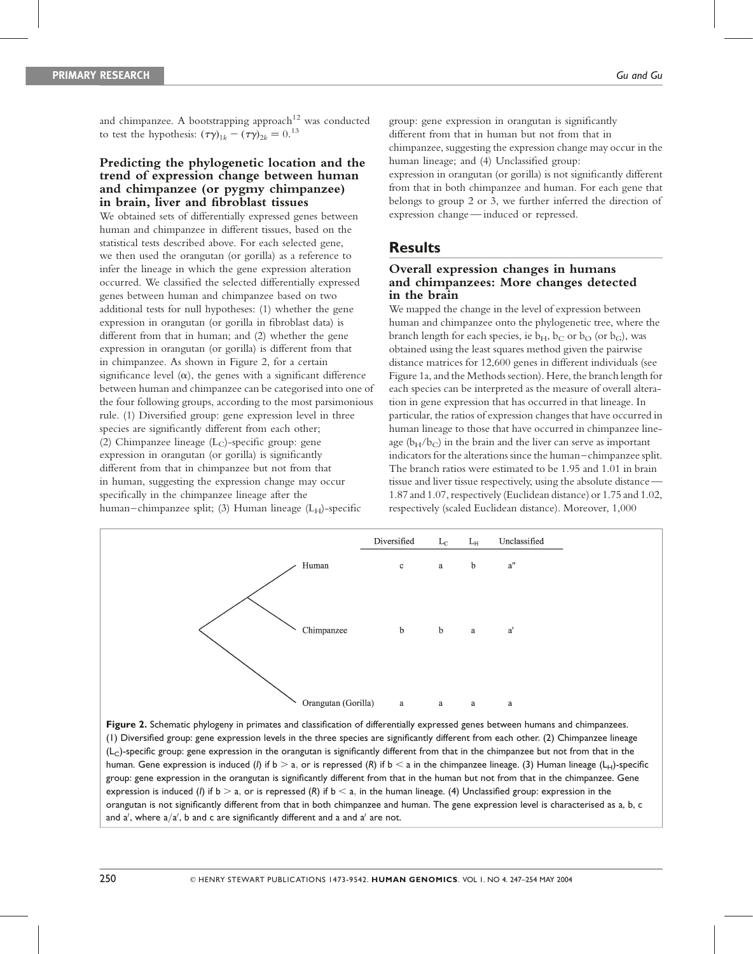and chimpanzee. A bootstrapping approach<sup>12</sup> was conducted to test the hypothesis:  $(\tau \gamma)_{1k} - (\tau \gamma)_{2k} = 0.^{13}$ 

## Predicting the phylogenetic location and the trend of expression change between human and chimpanzee (or pygmy chimpanzee) in brain, liver and fibroblast tissues

We obtained sets of differentially expressed genes between human and chimpanzee in different tissues, based on the statistical tests described above. For each selected gene, we then used the orangutan (or gorilla) as a reference to infer the lineage in which the gene expression alteration occurred. We classified the selected differentially expressed genes between human and chimpanzee based on two additional tests for null hypotheses: (1) whether the gene expression in orangutan (or gorilla in fibroblast data) is different from that in human; and (2) whether the gene expression in orangutan (or gorilla) is different from that in chimpanzee. As shown in Figure 2, for a certain significance level  $(\alpha)$ , the genes with a significant difference between human and chimpanzee can be categorised into one of the four following groups, according to the most parsimonious rule. (1) Diversified group: gene expression level in three species are significantly different from each other; (2) Chimpanzee lineage  $(L<sub>C</sub>)$ -specific group: gene expression in orangutan (or gorilla) is significantly different from that in chimpanzee but not from that in human, suggesting the expression change may occur specifically in the chimpanzee lineage after the human–chimpanzee split; (3) Human lineage  $(L_H)$ -specific

group: gene expression in orangutan is significantly different from that in human but not from that in chimpanzee, suggesting the expression change may occur in the human lineage; and (4) Unclassified group: expression in orangutan (or gorilla) is not significantly different from that in both chimpanzee and human. For each gene that belongs to group 2 or 3, we further inferred the direction of

## **Results**

## Overall expression changes in humans and chimpanzees: More changes detected in the brain

expression change — induced or repressed.

We mapped the change in the level of expression between human and chimpanzee onto the phylogenetic tree, where the branch length for each species, ie  $b_H$ ,  $b_C$  or  $b_O$  (or  $b_G$ ), was obtained using the least squares method given the pairwise distance matrices for 12,600 genes in different individuals (see Figure 1a, and the Methods section). Here, the branch length for each species can be interpreted as the measure of overall alteration in gene expression that has occurred in that lineage. In particular, the ratios of expression changes that have occurred in human lineage to those that have occurred in chimpanzee lineage  $(b_H/b_C)$  in the brain and the liver can serve as important indicators for the alterations since the human–chimpanzee split. The branch ratios were estimated to be 1.95 and 1.01 in brain tissue and liver tissue respectively, using the absolute distance — 1.87 and 1.07, respectively (Euclidean distance) or 1.75 and 1.02, respectively (scaled Euclidean distance). Moreover, 1,000



Figure 2. Schematic phylogeny in primates and classification of differentially expressed genes between humans and chimpanzees. (1) Diversified group: gene expression levels in the three species are significantly different from each other. (2) Chimpanzee lineage (LC)-specific group: gene expression in the orangutan is significantly different from that in the chimpanzee but not from that in the human. Gene expression is induced (I) if  $b > a$ , or is repressed (R) if  $b < a$  in the chimpanzee lineage. (3) Human lineage (L<sub>H</sub>)-specific group: gene expression in the orangutan is significantly different from that in the human but not from that in the chimpanzee. Gene expression is induced (I) if  $b > a$ , or is repressed (R) if  $b < a$ , in the human lineage. (4) Unclassified group: expression in the orangutan is not significantly different from that in both chimpanzee and human. The gene expression level is characterised as a, b, c and a $^{\prime}$ , where a $/\mathrm{a}^{\prime}$ , b and c are significantly different and a and a $^{\prime}$  are not.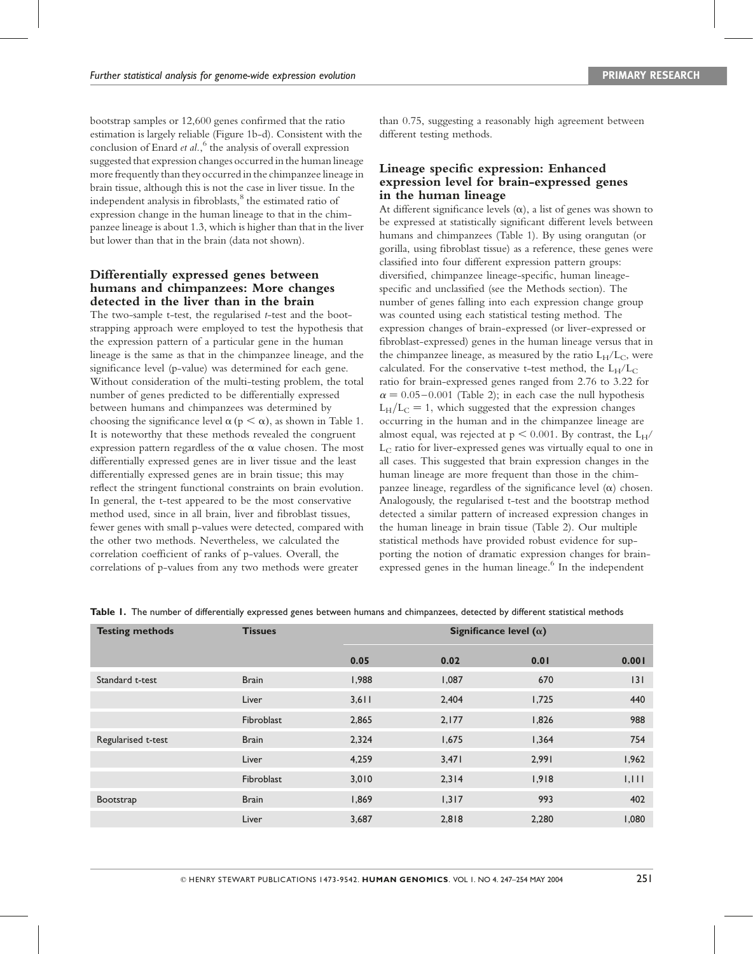bootstrap samples or 12,600 genes confirmed that the ratio estimation is largely reliable (Figure 1b-d). Consistent with the conclusion of Enard et al.,<sup>6</sup> the analysis of overall expression suggested that expression changes occurred in the human lineage more frequently than they occurred in the chimpanzee lineage in brain tissue, although this is not the case in liver tissue. In the independent analysis in fibroblasts, 8 the estimated ratio of expression change in the human lineage to that in the chimpanzee lineage is about 1.3, which is higher than that in the liver but lower than that in the brain (data not shown).

## Differentially expressed genes between humans and chimpanzees: More changes detected in the liver than in the brain

The two-sample t-test, the regularised t-test and the bootstrapping approach were employed to test the hypothesis that the expression pattern of a particular gene in the human lineage is the same as that in the chimpanzee lineage, and the significance level (p-value) was determined for each gene. Without consideration of the multi-testing problem, the total number of genes predicted to be differentially expressed between humans and chimpanzees was determined by choosing the significance level  $\alpha$  ( $p < \alpha$ ), as shown in Table 1. It is noteworthy that these methods revealed the congruent expression pattern regardless of the  $\alpha$  value chosen. The most differentially expressed genes are in liver tissue and the least differentially expressed genes are in brain tissue; this may reflect the stringent functional constraints on brain evolution. In general, the t-test appeared to be the most conservative method used, since in all brain, liver and fibroblast tissues, fewer genes with small p-values were detected, compared with the other two methods. Nevertheless, we calculated the correlation coefficient of ranks of p-values. Overall, the correlations of p-values from any two methods were greater

than 0.75, suggesting a reasonably high agreement between different testing methods.

## Lineage specific expression: Enhanced expression level for brain-expressed genes in the human lineage

At different significance levels  $(\alpha)$ , a list of genes was shown to be expressed at statistically significant different levels between humans and chimpanzees (Table 1). By using orangutan (or gorilla, using fibroblast tissue) as a reference, these genes were classified into four different expression pattern groups: diversified, chimpanzee lineage-specific, human lineagespecific and unclassified (see the Methods section). The number of genes falling into each expression change group was counted using each statistical testing method. The expression changes of brain-expressed (or liver-expressed or fibroblast-expressed) genes in the human lineage versus that in the chimpanzee lineage, as measured by the ratio  $L_H/L_C$ , were calculated. For the conservative t-test method, the  $L_H/L_C$ ratio for brain-expressed genes ranged from 2.76 to 3.22 for  $\alpha = 0.05 - 0.001$  (Table 2); in each case the null hypothesis  $L_H/L_C = 1$ , which suggested that the expression changes occurring in the human and in the chimpanzee lineage are almost equal, was rejected at  $p < 0.001$ . By contrast, the  $L_H/$ L<sub>C</sub> ratio for liver-expressed genes was virtually equal to one in all cases. This suggested that brain expression changes in the human lineage are more frequent than those in the chimpanzee lineage, regardless of the significance level  $(\alpha)$  chosen. Analogously, the regularised t-test and the bootstrap method detected a similar pattern of increased expression changes in the human lineage in brain tissue (Table 2). Our multiple statistical methods have provided robust evidence for supporting the notion of dramatic expression changes for brainexpressed genes in the human lineage. 6 In the independent

| <b>Testing methods</b> | <b>Tissues</b> |       | Significance level ( $\alpha$ ) |       |       |  |  |
|------------------------|----------------|-------|---------------------------------|-------|-------|--|--|
|                        |                | 0.05  | 0.02                            | 0.01  | 0.001 |  |  |
| Standard t-test        | <b>Brain</b>   | 1,988 | 1,087                           | 670   | 3     |  |  |
|                        | Liver          | 3,611 | 2,404                           | 1,725 | 440   |  |  |
|                        | Fibroblast     | 2,865 | 2,177                           | 1,826 | 988   |  |  |
| Regularised t-test     | <b>Brain</b>   | 2,324 | 1,675                           | 1,364 | 754   |  |  |
|                        | Liver          | 4,259 | 3,471                           | 2,991 | 1,962 |  |  |
|                        | Fibroblast     | 3,010 | 2,314                           | 1,918 | 1,111 |  |  |
| Bootstrap              | <b>Brain</b>   | 1,869 | 1,317                           | 993   | 402   |  |  |
|                        | Liver          | 3,687 | 2,818                           | 2,280 | 1,080 |  |  |

Table 1. The number of differentially expressed genes between humans and chimpanzees, detected by different statistical methods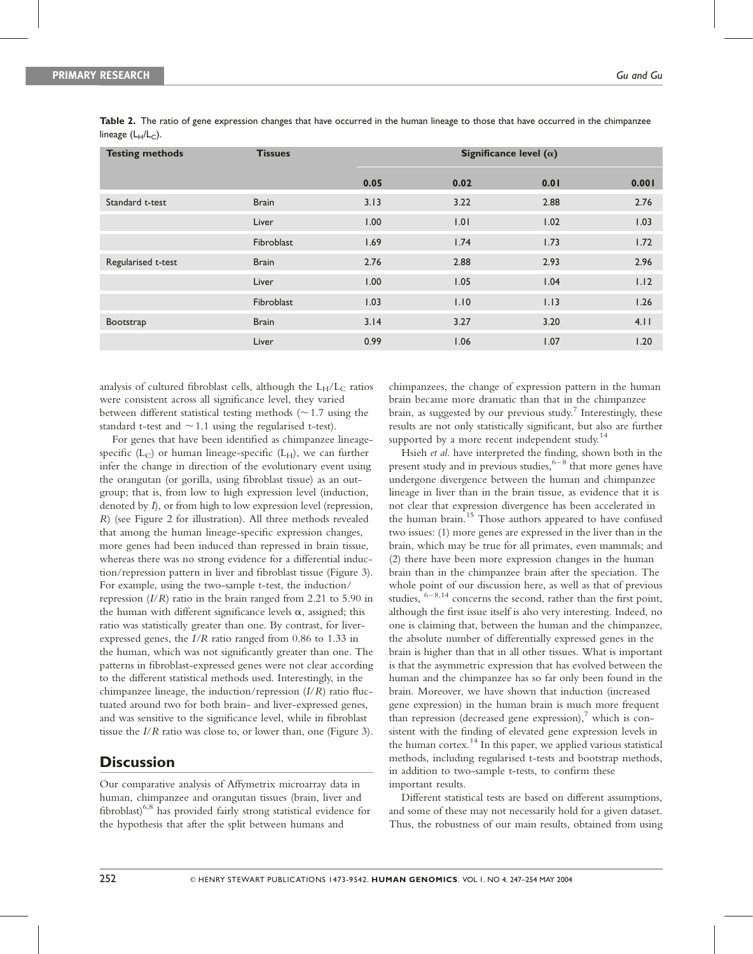| <b>Testing methods</b> | <b>Tissues</b> |      | Significance level $(\alpha)$ |      |       |  |  |
|------------------------|----------------|------|-------------------------------|------|-------|--|--|
|                        |                | 0.05 | 0.02                          | 0.01 | 0.001 |  |  |
| Standard t-test        | <b>Brain</b>   | 3.13 | 3.22                          | 2.88 | 2.76  |  |  |
|                        | Liver          | 1.00 | 1.01                          | 1.02 | 1.03  |  |  |
|                        | Fibroblast     | 1.69 | 1.74                          | 1.73 | 1.72  |  |  |
| Regularised t-test     | <b>Brain</b>   | 2.76 | 2.88                          | 2.93 | 2.96  |  |  |
|                        | Liver          | 1.00 | 1.05                          | 1.04 | 1.12  |  |  |
|                        | Fibroblast     | 1.03 | 1.10                          | 1.13 | 1.26  |  |  |
| Bootstrap              | <b>Brain</b>   | 3.14 | 3.27                          | 3.20 | 4.11  |  |  |
|                        | Liver          | 0.99 | 1.06                          | 1.07 | 1.20  |  |  |

Table 2. The ratio of gene expression changes that have occurred in the human lineage to those that have occurred in the chimpanzee lineage  $(L_H/L_C)$ .

analysis of cultured fibroblast cells, although the  $L_H/L_C$  ratios were consistent across all significance level, they varied between different statistical testing methods  $(\sim 1.7 \text{ using the})$ standard t-test and  $\sim$  1.1 using the regularised t-test).

For genes that have been identified as chimpanzee lineagespecific  $(L_C)$  or human lineage-specific  $(L_H)$ , we can further infer the change in direction of the evolutionary event using the orangutan (or gorilla, using fibroblast tissue) as an outgroup; that is, from low to high expression level (induction, denoted by *I*), or from high to low expression level (repression, R) (see Figure 2 for illustration). All three methods revealed that among the human lineage-specific expression changes, more genes had been induced than repressed in brain tissue, whereas there was no strong evidence for a differential induction/repression pattern in liver and fibroblast tissue (Figure 3). For example, using the two-sample t-test, the induction/ repression  $(I/R)$  ratio in the brain ranged from 2.21 to 5.90 in the human with different significance levels  $\alpha$ , assigned; this ratio was statistically greater than one. By contrast, for liverexpressed genes, the I/R ratio ranged from 0.86 to 1.33 in the human, which was not significantly greater than one. The patterns in fibroblast-expressed genes were not clear according to the different statistical methods used. Interestingly, in the chimpanzee lineage, the induction/repression  $(I/R)$  ratio fluctuated around two for both brain- and liver-expressed genes, and was sensitive to the significance level, while in fibroblast tissue the I/R ratio was close to, or lower than, one (Figure 3).

# **Discussion**

Our comparative analysis of Affymetrix microarray data in human, chimpanzee and orangutan tissues (brain, liver and fibroblast) $6.8$  has provided fairly strong statistical evidence for the hypothesis that after the split between humans and

chimpanzees, the change of expression pattern in the human brain became more dramatic than that in the chimpanzee brain, as suggested by our previous study.<sup>7</sup> Interestingly, these results are not only statistically significant, but also are further supported by a more recent independent study.<sup>14</sup>

Hsieh et al. have interpreted the finding, shown both in the present study and in previous studies, 6-8 that more genes have undergone divergence between the human and chimpanzee lineage in liver than in the brain tissue, as evidence that it is not clear that expression divergence has been accelerated in the human brain.<sup>15</sup> Those authors appeared to have confused two issues: (1) more genes are expressed in the liver than in the brain, which may be true for all primates, even mammals; and (2) there have been more expression changes in the human brain than in the chimpanzee brain after the speciation. The whole point of our discussion here, as well as that of previous studies,  $6-8,14$  concerns the second, rather than the first point, although the first issue itself is also very interesting. Indeed, no one is claiming that, between the human and the chimpanzee, the absolute number of differentially expressed genes in the brain is higher than that in all other tissues. What is important is that the asymmetric expression that has evolved between the human and the chimpanzee has so far only been found in the brain. Moreover, we have shown that induction (increased gene expression) in the human brain is much more frequent than repression (decreased gene expression), <sup>7</sup> which is consistent with the finding of elevated gene expression levels in the human cortex. 14 In this paper, we applied various statistical methods, including regularised t-tests and bootstrap methods, in addition to two-sample t-tests, to confirm these important results.

Different statistical tests are based on different assumptions, and some of these may not necessarily hold for a given dataset. Thus, the robustness of our main results, obtained from using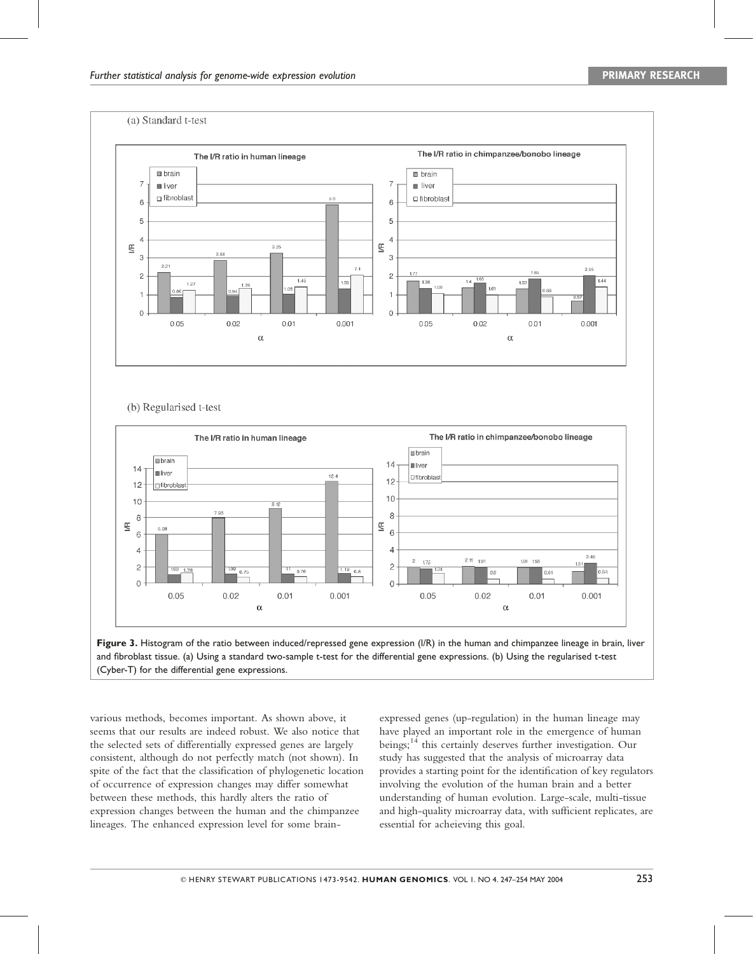

#### (b) Regularised t-test





various methods, becomes important. As shown above, it seems that our results are indeed robust. We also notice that the selected sets of differentially expressed genes are largely consistent, although do not perfectly match (not shown). In spite of the fact that the classification of phylogenetic location of occurrence of expression changes may differ somewhat between these methods, this hardly alters the ratio of expression changes between the human and the chimpanzee lineages. The enhanced expression level for some brainexpressed genes (up-regulation) in the human lineage may have played an important role in the emergence of human beings;<sup>14</sup> this certainly deserves further investigation. Our study has suggested that the analysis of microarray data provides a starting point for the identification of key regulators involving the evolution of the human brain and a better understanding of human evolution. Large-scale, multi-tissue and high-quality microarray data, with sufficient replicates, are essential for acheieving this goal.